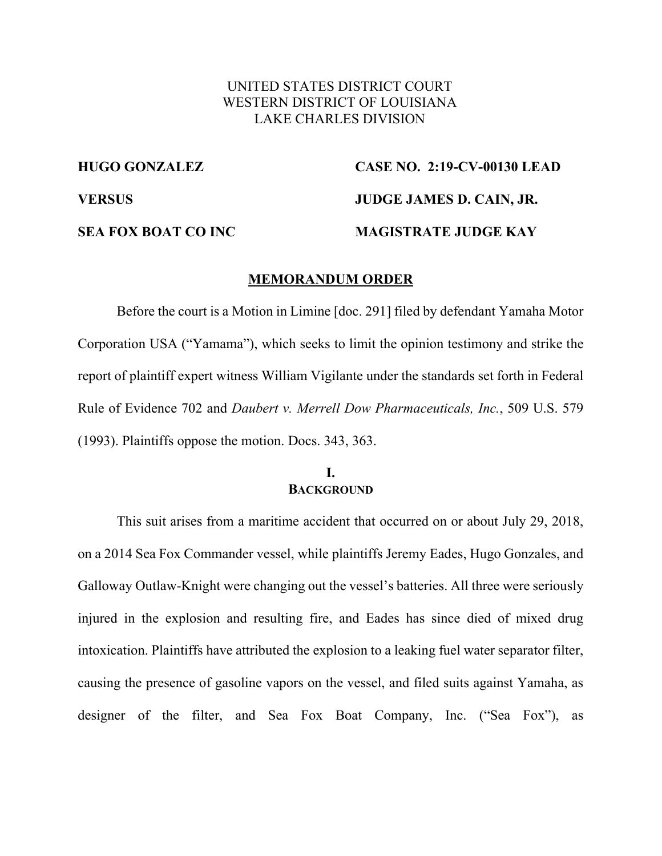# UNITED STATES DISTRICT COURT WESTERN DISTRICT OF LOUISIANA LAKE CHARLES DIVISION

# **HUGO GONZALEZ CASE NO. 2:19-CV-00130 LEAD VERSUS JUDGE JAMES D. CAIN, JR. SEA FOX BOAT CO INC MAGISTRATE JUDGE KAY**

### **MEMORANDUM ORDER**

Before the court is a Motion in Limine [doc. 291] filed by defendant Yamaha Motor Corporation USA ("Yamama"), which seeks to limit the opinion testimony and strike the report of plaintiff expert witness William Vigilante under the standards set forth in Federal Rule of Evidence 702 and *Daubert v. Merrell Dow Pharmaceuticals, Inc.*, 509 U.S. 579 (1993). Plaintiffs oppose the motion. Docs. 343, 363.

#### **I. BACKGROUND**

This suit arises from a maritime accident that occurred on or about July 29, 2018, on a 2014 Sea Fox Commander vessel, while plaintiffs Jeremy Eades, Hugo Gonzales, and Galloway Outlaw-Knight were changing out the vessel's batteries. All three were seriously injured in the explosion and resulting fire, and Eades has since died of mixed drug intoxication. Plaintiffs have attributed the explosion to a leaking fuel water separator filter, causing the presence of gasoline vapors on the vessel, and filed suits against Yamaha, as designer of the filter, and Sea Fox Boat Company, Inc. ("Sea Fox"), as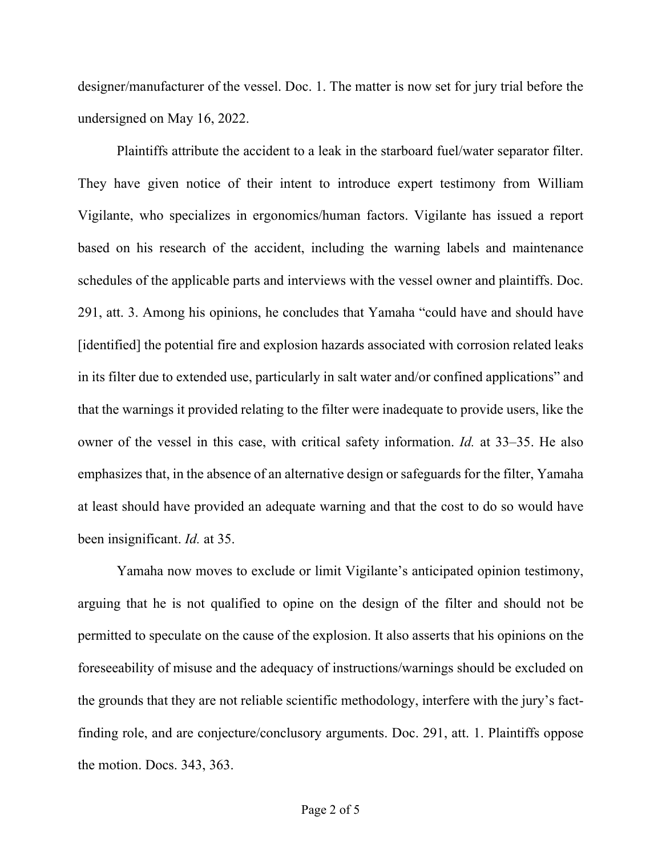designer/manufacturer of the vessel. Doc. 1. The matter is now set for jury trial before the undersigned on May 16, 2022.

Plaintiffs attribute the accident to a leak in the starboard fuel/water separator filter. They have given notice of their intent to introduce expert testimony from William Vigilante, who specializes in ergonomics/human factors. Vigilante has issued a report based on his research of the accident, including the warning labels and maintenance schedules of the applicable parts and interviews with the vessel owner and plaintiffs. Doc. 291, att. 3. Among his opinions, he concludes that Yamaha "could have and should have [identified] the potential fire and explosion hazards associated with corrosion related leaks in its filter due to extended use, particularly in salt water and/or confined applications" and that the warnings it provided relating to the filter were inadequate to provide users, like the owner of the vessel in this case, with critical safety information. *Id.* at 33–35. He also emphasizes that, in the absence of an alternative design or safeguards for the filter, Yamaha at least should have provided an adequate warning and that the cost to do so would have been insignificant. *Id.* at 35.

Yamaha now moves to exclude or limit Vigilante's anticipated opinion testimony, arguing that he is not qualified to opine on the design of the filter and should not be permitted to speculate on the cause of the explosion. It also asserts that his opinions on the foreseeability of misuse and the adequacy of instructions/warnings should be excluded on the grounds that they are not reliable scientific methodology, interfere with the jury's factfinding role, and are conjecture/conclusory arguments. Doc. 291, att. 1. Plaintiffs oppose the motion. Docs. 343, 363.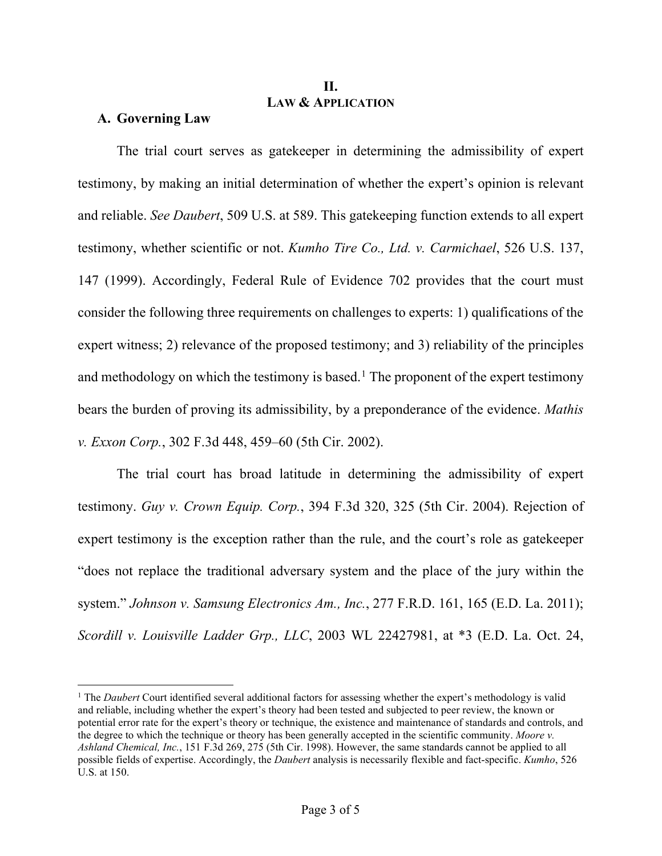# **II. LAW & APPLICATION**

## **A. Governing Law**

The trial court serves as gatekeeper in determining the admissibility of expert testimony, by making an initial determination of whether the expert's opinion is relevant and reliable. *See Daubert*, 509 U.S. at 589. This gatekeeping function extends to all expert testimony, whether scientific or not. *Kumho Tire Co., Ltd. v. Carmichael*, 526 U.S. 137, 147 (1999). Accordingly, Federal Rule of Evidence 702 provides that the court must consider the following three requirements on challenges to experts: 1) qualifications of the expert witness; 2) relevance of the proposed testimony; and 3) reliability of the principles and methodology on which the testimony is based.<sup>1</sup> The proponent of the expert testimony bears the burden of proving its admissibility, by a preponderance of the evidence. *Mathis v. Exxon Corp.*, 302 F.3d 448, 459–60 (5th Cir. 2002).

The trial court has broad latitude in determining the admissibility of expert testimony. *Guy v. Crown Equip. Corp.*, 394 F.3d 320, 325 (5th Cir. 2004). Rejection of expert testimony is the exception rather than the rule, and the court's role as gatekeeper "does not replace the traditional adversary system and the place of the jury within the system." *Johnson v. Samsung Electronics Am., Inc.*, 277 F.R.D. 161, 165 (E.D. La. 2011); *Scordill v. Louisville Ladder Grp., LLC*, 2003 WL 22427981, at \*3 (E.D. La. Oct. 24,

<sup>1</sup> The *Daubert* Court identified several additional factors for assessing whether the expert's methodology is valid and reliable, including whether the expert's theory had been tested and subjected to peer review, the known or potential error rate for the expert's theory or technique, the existence and maintenance of standards and controls, and the degree to which the technique or theory has been generally accepted in the scientific community. *Moore v. Ashland Chemical, Inc.*, 151 F.3d 269, 275 (5th Cir. 1998). However, the same standards cannot be applied to all possible fields of expertise. Accordingly, the *Daubert* analysis is necessarily flexible and fact-specific. *Kumho*, 526 U.S. at 150.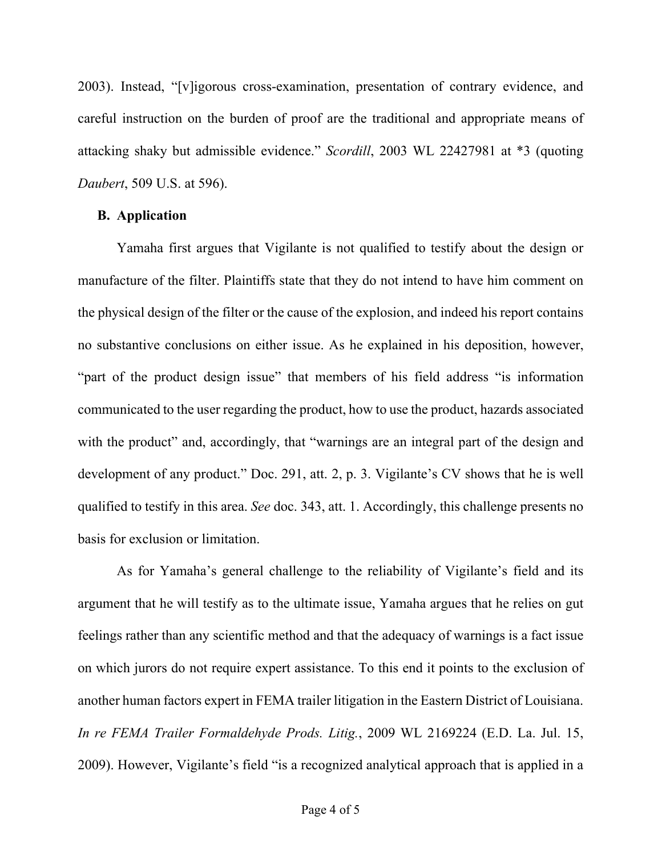2003). Instead, "[v]igorous cross-examination, presentation of contrary evidence, and careful instruction on the burden of proof are the traditional and appropriate means of attacking shaky but admissible evidence." *Scordill*, 2003 WL 22427981 at \*3 (quoting *Daubert*, 509 U.S. at 596).

# **B. Application**

Yamaha first argues that Vigilante is not qualified to testify about the design or manufacture of the filter. Plaintiffs state that they do not intend to have him comment on the physical design of the filter or the cause of the explosion, and indeed his report contains no substantive conclusions on either issue. As he explained in his deposition, however, "part of the product design issue" that members of his field address "is information communicated to the user regarding the product, how to use the product, hazards associated with the product" and, accordingly, that "warnings are an integral part of the design and development of any product." Doc. 291, att. 2, p. 3. Vigilante's CV shows that he is well qualified to testify in this area. *See* doc. 343, att. 1. Accordingly, this challenge presents no basis for exclusion or limitation.

As for Yamaha's general challenge to the reliability of Vigilante's field and its argument that he will testify as to the ultimate issue, Yamaha argues that he relies on gut feelings rather than any scientific method and that the adequacy of warnings is a fact issue on which jurors do not require expert assistance. To this end it points to the exclusion of another human factors expert in FEMA trailer litigation in the Eastern District of Louisiana. *In re FEMA Trailer Formaldehyde Prods. Litig.*, 2009 WL 2169224 (E.D. La. Jul. 15, 2009). However, Vigilante's field "is a recognized analytical approach that is applied in a